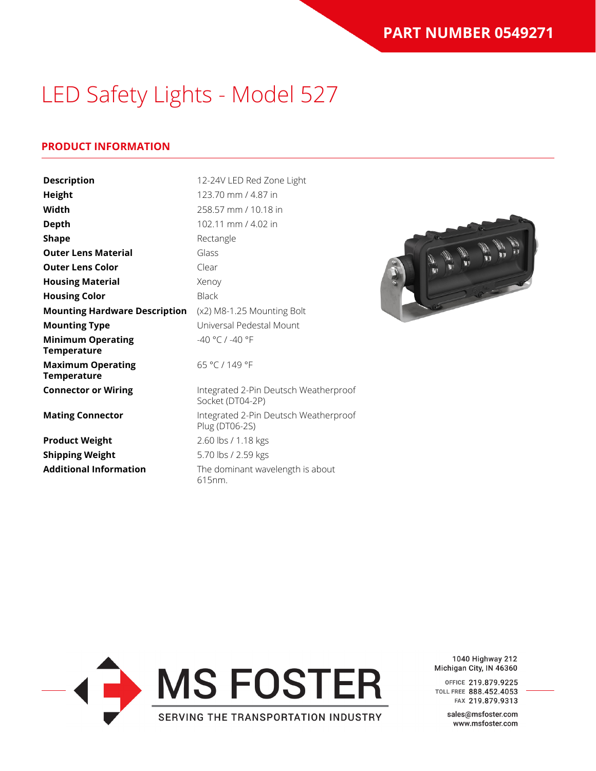### **PRODUCT INFORMATION**

| <b>Description</b>                             | 12-24V LED Red Zone Light                                 |  |
|------------------------------------------------|-----------------------------------------------------------|--|
| Height                                         | 123.70 mm / 4.87 in                                       |  |
| Width                                          | 258.57 mm / 10.18 in                                      |  |
| <b>Depth</b>                                   | 102.11 mm / 4.02 in                                       |  |
| <b>Shape</b>                                   | Rectangle                                                 |  |
| <b>Outer Lens Material</b>                     | Glass                                                     |  |
| <b>Outer Lens Color</b>                        | Clear                                                     |  |
| <b>Housing Material</b>                        | Xenoy                                                     |  |
| <b>Housing Color</b>                           | <b>Black</b>                                              |  |
| <b>Mounting Hardware Description</b>           | (x2) M8-1.25 Mounting Bolt                                |  |
| <b>Mounting Type</b>                           | Universal Pedestal Mount                                  |  |
| <b>Minimum Operating</b><br><b>Temperature</b> | -40 °C / -40 °F                                           |  |
| <b>Maximum Operating</b><br><b>Temperature</b> | 65 °C / 149 °F                                            |  |
| <b>Connector or Wiring</b>                     | Integrated 2-Pin Deutsch Weatherproof<br>Socket (DT04-2P) |  |
| <b>Mating Connector</b>                        | Integrated 2-Pin Deutsch Weatherproof<br>Plug (DT06-2S)   |  |
| <b>Product Weight</b>                          | 2.60 lbs / 1.18 kgs                                       |  |
| <b>Shipping Weight</b>                         | 5.70 lbs / 2.59 kgs                                       |  |
| <b>Additional Information</b>                  | The dominant wavelength is about<br>615nm.                |  |



1040 Highway 212 Michigan City, IN 46360

OFFICE 219.879.9225 TOLL FREE 888.452.4053 FAX 219.879.9313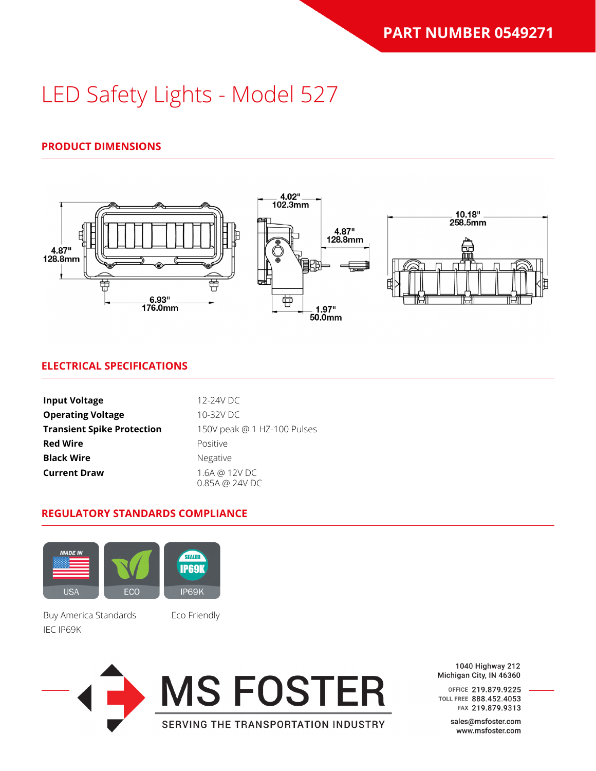### **PRODUCT DIMENSIONS**



### **ELECTRICAL SPECIFICATIONS**

| <b>Input Voltage</b>              | 12-24V DC                       |  |
|-----------------------------------|---------------------------------|--|
| <b>Operating Voltage</b>          | 10-32V DC                       |  |
| <b>Transient Spike Protection</b> | 150V peak @ 1 HZ-100 Pulses     |  |
| <b>Red Wire</b>                   | Positive                        |  |
| <b>Black Wire</b>                 | Negative                        |  |
| <b>Current Draw</b>               | 1.6A @ 12V DC<br>0.85A @ 24V DC |  |

#### **REGULATORY STANDARDS COMPLIANCE**



Buy America Standards Eco Friendly IEC IP69K



1040 Highway 212 Michigan City, IN 46360

OFFICE 219.879.9225 TOLL FREE 888.452.4053 FAX 219.879.9313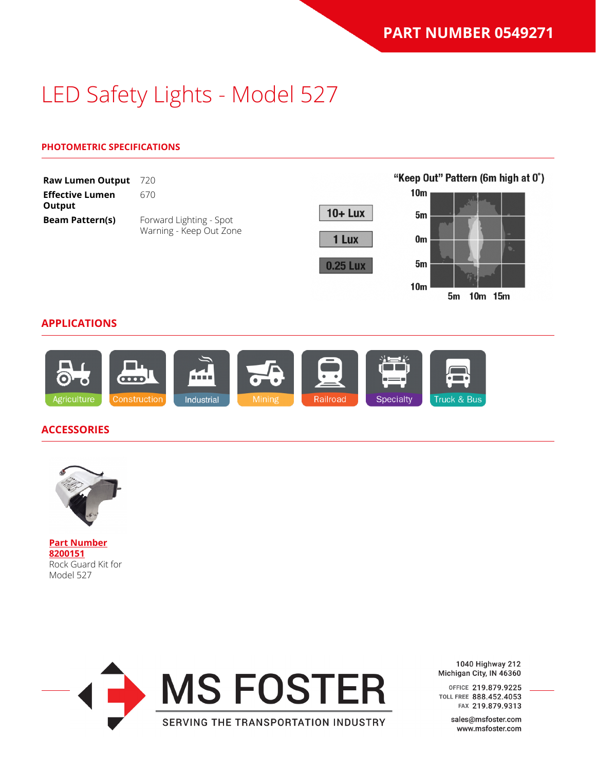#### **PHOTOMETRIC SPECIFICATIONS**

| <b>Raw Lumen Output</b>          | 720                     |                 | "Keep Out" Pattern (6m high at 0°)       |
|----------------------------------|-------------------------|-----------------|------------------------------------------|
| <b>Effective Lumen</b><br>Output | 670                     |                 | 10 <sub>m</sub>                          |
| <b>Beam Pattern(s)</b>           | Forward Lighting - Spot | $10 +$ Lux      | 5m                                       |
|                                  | Warning - Keep Out Zone | 1 Lux           | $\sim$<br>0 <sub>m</sub><br>T.           |
|                                  |                         | <b>0.25 Lux</b> | 5m                                       |
|                                  |                         |                 | 10 <sub>m</sub><br>15 <sub>m</sub><br>5m |

#### **APPLICATIONS**



#### **ACCESSORIES**



**[Part Number](https://www.jwspeaker.com/products/led-keep-out-light-model-527-red/8200151/) [8200151](https://www.jwspeaker.com/products/led-keep-out-light-model-527-red/8200151/)** Rock Guard Kit for Model 527



1040 Highway 212 Michigan City, IN 46360

OFFICE 219.879.9225 TOLL FREE 888.452.4053 FAX 219.879.9313